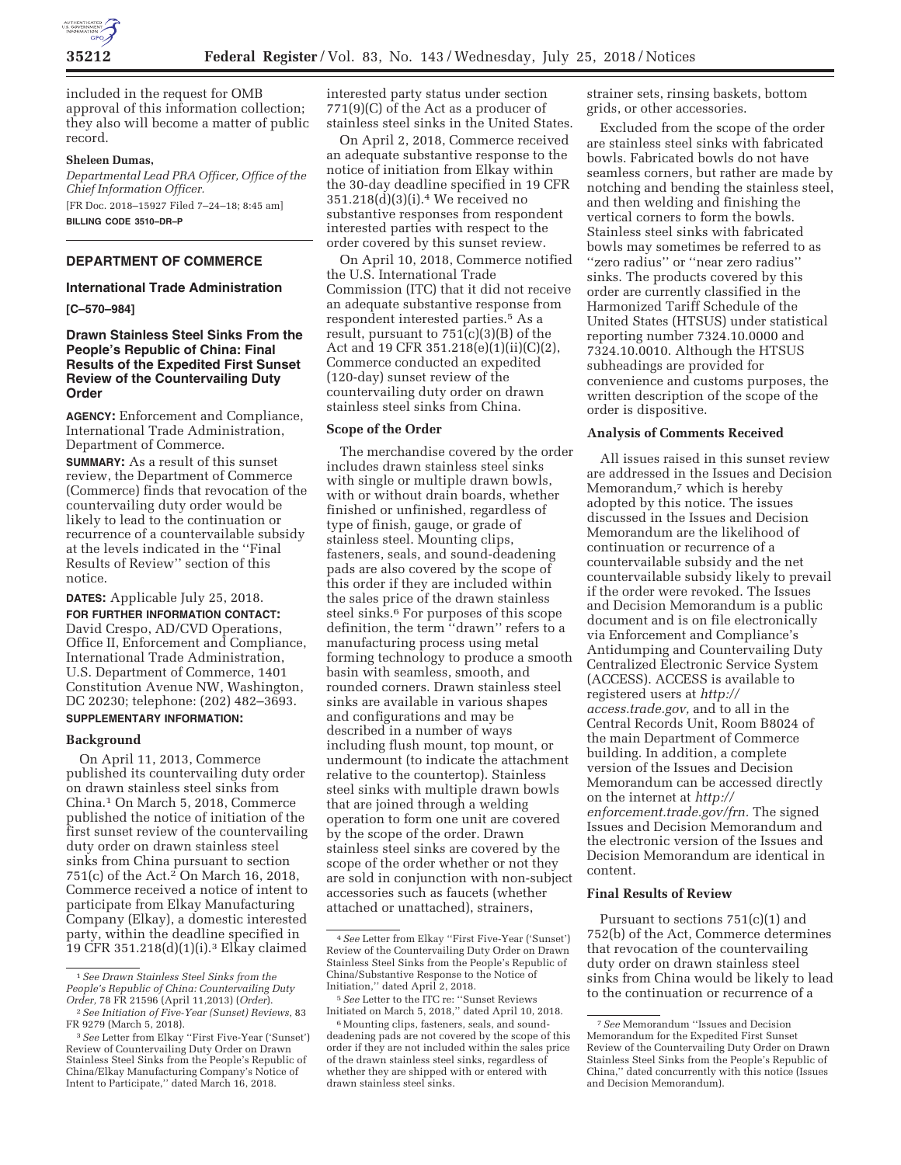

included in the request for OMB approval of this information collection; they also will become a matter of public record.

## **Sheleen Dumas,**

*Departmental Lead PRA Officer, Office of the Chief Information Officer.*  [FR Doc. 2018–15927 Filed 7–24–18; 8:45 am] **BILLING CODE 3510–DR–P** 

## **DEPARTMENT OF COMMERCE**

# **International Trade Administration**

**[C–570–984]** 

# **Drawn Stainless Steel Sinks From the People's Republic of China: Final Results of the Expedited First Sunset Review of the Countervailing Duty Order**

**AGENCY:** Enforcement and Compliance, International Trade Administration, Department of Commerce. **SUMMARY:** As a result of this sunset review, the Department of Commerce (Commerce) finds that revocation of the countervailing duty order would be likely to lead to the continuation or recurrence of a countervailable subsidy at the levels indicated in the ''Final Results of Review'' section of this notice.

**DATES:** Applicable July 25, 2018.

**FOR FURTHER INFORMATION CONTACT:**  David Crespo, AD/CVD Operations, Office II, Enforcement and Compliance, International Trade Administration, U.S. Department of Commerce, 1401 Constitution Avenue NW, Washington, DC 20230; telephone: (202) 482–3693. **SUPPLEMENTARY INFORMATION:** 

#### **Background**

On April 11, 2013, Commerce published its countervailing duty order on drawn stainless steel sinks from China.1 On March 5, 2018, Commerce published the notice of initiation of the first sunset review of the countervailing duty order on drawn stainless steel sinks from China pursuant to section 751(c) of the Act.2 On March 16, 2018, Commerce received a notice of intent to participate from Elkay Manufacturing Company (Elkay), a domestic interested party, within the deadline specified in 19 CFR 351.218(d)(1)(i).3 Elkay claimed

interested party status under section 771(9)(C) of the Act as a producer of stainless steel sinks in the United States.

On April 2, 2018, Commerce received an adequate substantive response to the notice of initiation from Elkay within the 30-day deadline specified in 19 CFR 351.218(d)(3)(i).4 We received no substantive responses from respondent interested parties with respect to the order covered by this sunset review.

On April 10, 2018, Commerce notified the U.S. International Trade Commission (ITC) that it did not receive an adequate substantive response from respondent interested parties.5 As a result, pursuant to 751(c)(3)(B) of the Act and 19 CFR 351.218(e)(1)(ii)(C)(2), Commerce conducted an expedited (120-day) sunset review of the countervailing duty order on drawn stainless steel sinks from China.

## **Scope of the Order**

The merchandise covered by the order includes drawn stainless steel sinks with single or multiple drawn bowls, with or without drain boards, whether finished or unfinished, regardless of type of finish, gauge, or grade of stainless steel. Mounting clips, fasteners, seals, and sound-deadening pads are also covered by the scope of this order if they are included within the sales price of the drawn stainless steel sinks.6 For purposes of this scope definition, the term ''drawn'' refers to a manufacturing process using metal forming technology to produce a smooth basin with seamless, smooth, and rounded corners. Drawn stainless steel sinks are available in various shapes and configurations and may be described in a number of ways including flush mount, top mount, or undermount (to indicate the attachment relative to the countertop). Stainless steel sinks with multiple drawn bowls that are joined through a welding operation to form one unit are covered by the scope of the order. Drawn stainless steel sinks are covered by the scope of the order whether or not they are sold in conjunction with non-subject accessories such as faucets (whether attached or unattached), strainers,

strainer sets, rinsing baskets, bottom grids, or other accessories.

Excluded from the scope of the order are stainless steel sinks with fabricated bowls. Fabricated bowls do not have seamless corners, but rather are made by notching and bending the stainless steel, and then welding and finishing the vertical corners to form the bowls. Stainless steel sinks with fabricated bowls may sometimes be referred to as ''zero radius'' or ''near zero radius'' sinks. The products covered by this order are currently classified in the Harmonized Tariff Schedule of the United States (HTSUS) under statistical reporting number 7324.10.0000 and 7324.10.0010. Although the HTSUS subheadings are provided for convenience and customs purposes, the written description of the scope of the order is dispositive.

### **Analysis of Comments Received**

All issues raised in this sunset review are addressed in the Issues and Decision Memorandum,<sup>7</sup> which is hereby adopted by this notice. The issues discussed in the Issues and Decision Memorandum are the likelihood of continuation or recurrence of a countervailable subsidy and the net countervailable subsidy likely to prevail if the order were revoked. The Issues and Decision Memorandum is a public document and is on file electronically via Enforcement and Compliance's Antidumping and Countervailing Duty Centralized Electronic Service System (ACCESS). ACCESS is available to registered users at *http:// access.trade.gov,* and to all in the Central Records Unit, Room B8024 of the main Department of Commerce building. In addition, a complete version of the Issues and Decision Memorandum can be accessed directly on the internet at *http:// enforcement.trade.gov/frn.* The signed Issues and Decision Memorandum and the electronic version of the Issues and Decision Memorandum are identical in content.

## **Final Results of Review**

Pursuant to sections 751(c)(1) and 752(b) of the Act, Commerce determines that revocation of the countervailing duty order on drawn stainless steel sinks from China would be likely to lead to the continuation or recurrence of a

<sup>1</sup>*See Drawn Stainless Steel Sinks from the People's Republic of China: Countervailing Duty* 

<sup>&</sup>lt;sup>2</sup> See Initiation of Five-Year (Sunset) Reviews, 83<br>FR 9279 (March 5, 2018).

<sup>&</sup>lt;sup>3</sup> See Letter from Elkay "First Five-Year ('Sunset') Review of Countervailing Duty Order on Drawn Stainless Steel Sinks from the People's Republic of China/Elkay Manufacturing Company's Notice of Intent to Participate,'' dated March 16, 2018.

<sup>4</sup>*See* Letter from Elkay ''First Five-Year ('Sunset') Review of the Countervailing Duty Order on Drawn Stainless Steel Sinks from the People's Republic of China/Substantive Response to the Notice of Initiation,'' dated April 2, 2018.

<sup>5</sup>*See* Letter to the ITC re: ''Sunset Reviews Initiated on March 5, 2018,'' dated April 10, 2018.

<sup>&</sup>lt;sup>6</sup> Mounting clips, fasteners, seals, and sounddeadening pads are not covered by the scope of this order if they are not included within the sales price of the drawn stainless steel sinks, regardless of whether they are shipped with or entered with drawn stainless steel sinks.

<sup>7</sup>*See* Memorandum ''Issues and Decision Memorandum for the Expedited First Sunset Review of the Countervailing Duty Order on Drawn Stainless Steel Sinks from the People's Republic of China,'' dated concurrently with this notice (Issues and Decision Memorandum).